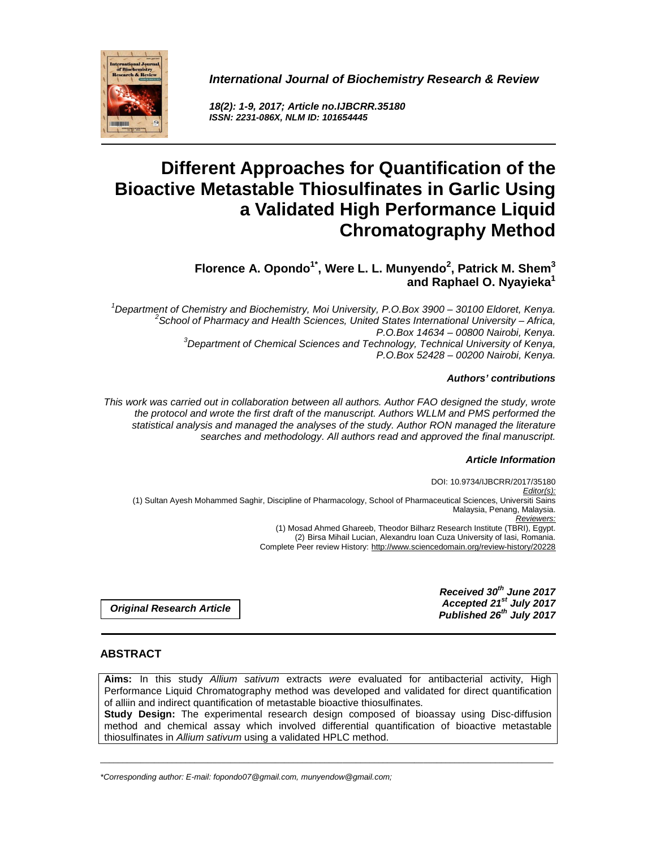**International Journal of Biochemistry Research & Review** 



**18(2): 1-9, 2017; Article no.IJBCRR.35180 ISSN: 2231-086X, NLM ID: 101654445** 

# **Different Approaches for Quantification of the Bioactive Metastable Thiosulfinates in Garlic Using a Validated High Performance Liquid Chromatography Method**

# **Florence A. Opondo1\*, Were L. L. Munyendo<sup>2</sup> , Patrick M. Shem<sup>3</sup> and Raphael O. Nyayieka<sup>1</sup>**

 $1$ Department of Chemistry and Biochemistry, Moi University, P.O.Box 3900 – 30100 Eldoret, Kenya.  ${}^{2}$ School of Pharmacy and Health Sciences, United States International University – Africa, P.O.Box 14634 – 00800 Nairobi, Kenya.  $3$ Department of Chemical Sciences and Technology, Technical University of Kenya, P.O.Box 52428 – 00200 Nairobi, Kenya.

#### **Authors' contributions**

This work was carried out in collaboration between all authors. Author FAO designed the study, wrote the protocol and wrote the first draft of the manuscript. Authors WLLM and PMS performed the statistical analysis and managed the analyses of the study. Author RON managed the literature searches and methodology. All authors read and approved the final manuscript.

# **Article Information**

DOI: 10.9734/IJBCRR/2017/35180 Editor(s): (1) Sultan Ayesh Mohammed Saghir, Discipline of Pharmacology, School of Pharmaceutical Sciences, Universiti Sains Malaysia, Penang, Malaysia. Reviewers: (1) Mosad Ahmed Ghareeb, Theodor Bilharz Research Institute (TBRI), Egypt. (2) Birsa Mihail Lucian, Alexandru Ioan Cuza University of Iasi, Romania. Complete Peer review History: http://www.sciencedomain.org/review-history/20228

**Original Research Article** 

**Received 30th June 2017 Accepted 21st July 2017 Published 26th July 2017**

# **ABSTRACT**

Aims: In this study *Allium sativum* extracts were evaluated for antibacterial activity, High Performance Liquid Chromatography method was developed and validated for direct quantification of alliin and indirect quantification of metastable bioactive thiosulfinates. **Study Design:** The experimental research design composed of bioassay using Disc-diffusion method and chemical assay which involved differential quantification of bioactive metastable

\_\_\_\_\_\_\_\_\_\_\_\_\_\_\_\_\_\_\_\_\_\_\_\_\_\_\_\_\_\_\_\_\_\_\_\_\_\_\_\_\_\_\_\_\_\_\_\_\_\_\_\_\_\_\_\_\_\_\_\_\_\_\_\_\_\_\_\_\_\_\_\_\_\_\_\_\_\_\_\_\_\_\_\_\_\_\_\_\_\_\_\_\_\_\_\_\_\_\_\_\_

\*Corresponding author: E-mail: fopondo07@gmail.com, munyendow@gmail.com;

thiosulfinates in Allium sativum using a validated HPLC method.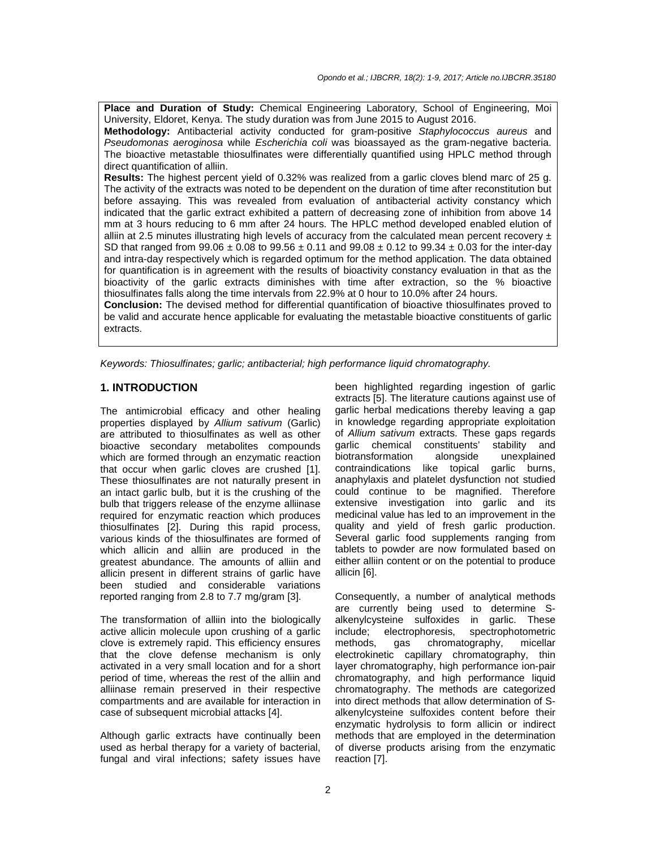**Place and Duration of Study:** Chemical Engineering Laboratory, School of Engineering, Moi University, Eldoret, Kenya. The study duration was from June 2015 to August 2016.

**Methodology:** Antibacterial activity conducted for gram-positive Staphylococcus aureus and Pseudomonas aeroginosa while Escherichia coli was bioassayed as the gram-negative bacteria. The bioactive metastable thiosulfinates were differentially quantified using HPLC method through direct quantification of alliin.

**Results:** The highest percent yield of 0.32% was realized from a garlic cloves blend marc of 25 g. The activity of the extracts was noted to be dependent on the duration of time after reconstitution but before assaying. This was revealed from evaluation of antibacterial activity constancy which indicated that the garlic extract exhibited a pattern of decreasing zone of inhibition from above 14 mm at 3 hours reducing to 6 mm after 24 hours. The HPLC method developed enabled elution of alliin at 2.5 minutes illustrating high levels of accuracy from the calculated mean percent recovery  $\pm$ SD that ranged from  $99.06 \pm 0.08$  to  $99.56 \pm 0.11$  and  $99.08 \pm 0.12$  to  $99.34 \pm 0.03$  for the inter-day and intra-day respectively which is regarded optimum for the method application. The data obtained for quantification is in agreement with the results of bioactivity constancy evaluation in that as the bioactivity of the garlic extracts diminishes with time after extraction, so the % bioactive thiosulfinates falls along the time intervals from 22.9% at 0 hour to 10.0% after 24 hours.

**Conclusion:** The devised method for differential quantification of bioactive thiosulfinates proved to be valid and accurate hence applicable for evaluating the metastable bioactive constituents of garlic extracts.

Keywords: Thiosulfinates; garlic; antibacterial; high performance liquid chromatography.

#### **1. INTRODUCTION**

The antimicrobial efficacy and other healing properties displayed by Allium sativum (Garlic) are attributed to thiosulfinates as well as other bioactive secondary metabolites compounds which are formed through an enzymatic reaction that occur when garlic cloves are crushed [1]. These thiosulfinates are not naturally present in an intact garlic bulb, but it is the crushing of the bulb that triggers release of the enzyme alliinase required for enzymatic reaction which produces thiosulfinates [2]. During this rapid process, various kinds of the thiosulfinates are formed of which allicin and alliin are produced in the greatest abundance. The amounts of alliin and allicin present in different strains of garlic have been studied and considerable variations reported ranging from 2.8 to 7.7 mg/gram [3].

The transformation of alliin into the biologically active allicin molecule upon crushing of a garlic clove is extremely rapid. This efficiency ensures that the clove defense mechanism is only activated in a very small location and for a short period of time, whereas the rest of the alliin and alliinase remain preserved in their respective compartments and are available for interaction in case of subsequent microbial attacks [4].

Although garlic extracts have continually been used as herbal therapy for a variety of bacterial, fungal and viral infections; safety issues have been highlighted regarding ingestion of garlic extracts [5]. The literature cautions against use of garlic herbal medications thereby leaving a gap in knowledge regarding appropriate exploitation of Allium sativum extracts. These gaps regards garlic chemical constituents' stability and biotransformation alongside unexplained contraindications like topical garlic burns, anaphylaxis and platelet dysfunction not studied could continue to be magnified. Therefore extensive investigation into garlic and its medicinal value has led to an improvement in the quality and yield of fresh garlic production. Several garlic food supplements ranging from tablets to powder are now formulated based on either alliin content or on the potential to produce allicin [6].

Consequently, a number of analytical methods are currently being used to determine Salkenylcysteine sulfoxides in garlic. These include; electrophoresis, spectrophotometric methods, gas chromatography, micellar electrokinetic capillary chromatography, thin layer chromatography, high performance ion-pair chromatography, and high performance liquid chromatography. The methods are categorized into direct methods that allow determination of Salkenylcysteine sulfoxides content before their enzymatic hydrolysis to form allicin or indirect methods that are employed in the determination of diverse products arising from the enzymatic reaction [7].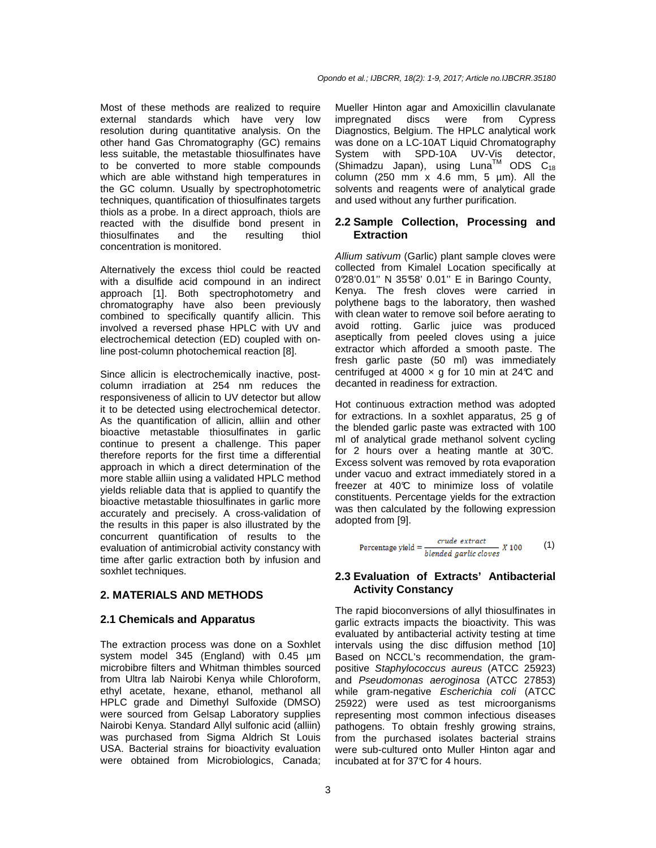Most of these methods are realized to require external standards which have very low resolution during quantitative analysis. On the other hand Gas Chromatography (GC) remains less suitable, the metastable thiosulfinates have to be converted to more stable compounds which are able withstand high temperatures in the GC column. Usually by spectrophotometric techniques, quantification of thiosulfinates targets thiols as a probe. In a direct approach, thiols are reacted with the disulfide bond present in<br>thiosulfinates and the resulting thiol thiosulfinates and the resulting thiol concentration is monitored.

Alternatively the excess thiol could be reacted with a disulfide acid compound in an indirect approach [1]. Both spectrophotometry and chromatography have also been previously combined to specifically quantify allicin. This involved a reversed phase HPLC with UV and electrochemical detection (ED) coupled with online post-column photochemical reaction [8].

Since allicin is electrochemically inactive, postcolumn irradiation at 254 nm reduces the responsiveness of allicin to UV detector but allow it to be detected using electrochemical detector. As the quantification of allicin, alliin and other bioactive metastable thiosulfinates in garlic continue to present a challenge. This paper therefore reports for the first time a differential approach in which a direct determination of the more stable alliin using a validated HPLC method yields reliable data that is applied to quantify the bioactive metastable thiosulfinates in garlic more accurately and precisely. A cross-validation of the results in this paper is also illustrated by the concurrent quantification of results to the evaluation of antimicrobial activity constancy with time after garlic extraction both by infusion and soxhlet techniques.

# **2. MATERIALS AND METHODS**

#### **2.1 Chemicals and Apparatus**

The extraction process was done on a Soxhlet system model 345 (England) with 0.45 µm microbibre filters and Whitman thimbles sourced from Ultra lab Nairobi Kenya while Chloroform, ethyl acetate, hexane, ethanol, methanol all HPLC grade and Dimethyl Sulfoxide (DMSO) were sourced from Gelsap Laboratory supplies Nairobi Kenya. Standard Allyl sulfonic acid (alliin) was purchased from Sigma Aldrich St Louis USA. Bacterial strains for bioactivity evaluation were obtained from Microbiologics, Canada;

Mueller Hinton agar and Amoxicillin clavulanate impregnated discs were from Cypress Diagnostics, Belgium. The HPLC analytical work was done on a LC-10AT Liquid Chromatography System with SPD-10A UV-Vis detector,  $(S$ himadzu Japan), using Luna<sup>TM</sup> ODS C<sub>18</sub> column (250 mm  $x$  4.6 mm, 5  $\mu$ m). All the solvents and reagents were of analytical grade and used without any further purification.

#### **2.2 Sample Collection, Processing and Extraction**

Allium sativum (Garlic) plant sample cloves were collected from Kimalel Location specifically at 0°28'0.01'' N 35°58' 0.01'' E in Baringo County, Kenya. The fresh cloves were carried in polythene bags to the laboratory, then washed with clean water to remove soil before aerating to avoid rotting. Garlic juice was produced aseptically from peeled cloves using a juice extractor which afforded a smooth paste. The fresh garlic paste (50 ml) was immediately centrifuged at 4000  $\times$  g for 10 min at 24°C and decanted in readiness for extraction.

Hot continuous extraction method was adopted for extractions. In a soxhlet apparatus, 25 g of the blended garlic paste was extracted with 100 ml of analytical grade methanol solvent cycling for 2 hours over a heating mantle at 30°C. Excess solvent was removed by rota evaporation under vacuo and extract immediately stored in a freezer at 40°C to minimize loss of volatile constituents. Percentage yields for the extraction was then calculated by the following expression adopted from [9].

$$
Percentage yield = \frac{crude\ extract}{blended\ garlic\ closes} \ X \ 100 \tag{1}
$$

# **2.3 Evaluation of Extracts' Antibacterial Activity Constancy**

The rapid bioconversions of allyl thiosulfinates in garlic extracts impacts the bioactivity. This was evaluated by antibacterial activity testing at time intervals using the disc diffusion method [10] Based on NCCL's recommendation, the grampositive Staphylococcus aureus (ATCC 25923) and Pseudomonas aeroginosa (ATCC 27853) while gram-negative Escherichia coli (ATCC 25922) were used as test microorganisms representing most common infectious diseases pathogens. To obtain freshly growing strains, from the purchased isolates bacterial strains were sub-cultured onto Muller Hinton agar and incubated at for 37°C for 4 hours.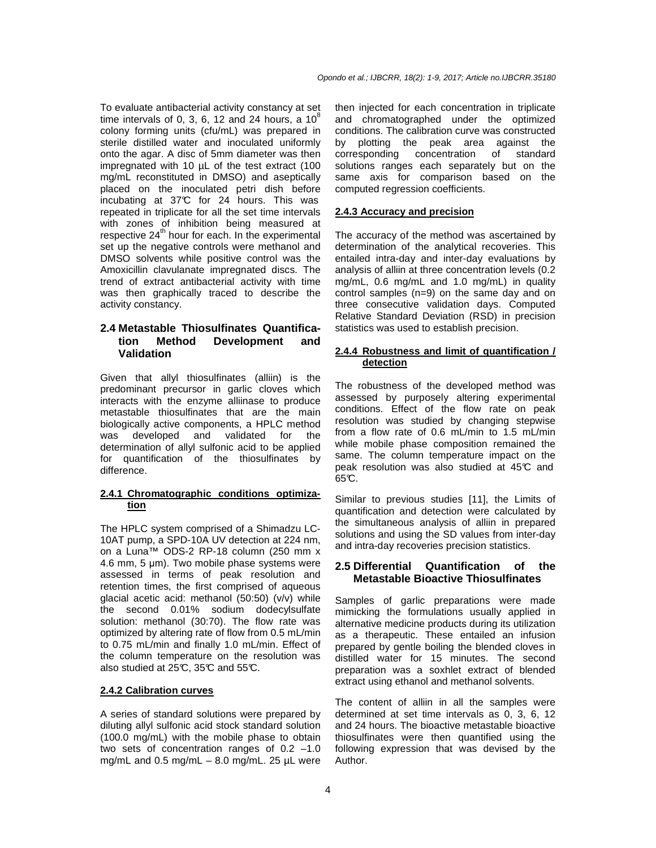To evaluate antibacterial activity constancy at set time intervals of 0, 3, 6, 12 and 24 hours, a  $10^8$ colony forming units (cfu/mL) was prepared in sterile distilled water and inoculated uniformly onto the agar. A disc of 5mm diameter was then impregnated with 10 µL of the test extract (100 mg/mL reconstituted in DMSO) and aseptically placed on the inoculated petri dish before incubating at 37°C for 24 hours. This was repeated in triplicate for all the set time intervals with zones of inhibition being measured at respective  $24<sup>th</sup>$  hour for each. In the experimental set up the negative controls were methanol and DMSO solvents while positive control was the Amoxicillin clavulanate impregnated discs. The trend of extract antibacterial activity with time was then graphically traced to describe the activity constancy.

# **2.4 Metastable Thiosulfinates Quantification Method Development and Validation**

Given that allyl thiosulfinates (alliin) is the predominant precursor in garlic cloves which interacts with the enzyme alliinase to produce metastable thiosulfinates that are the main biologically active components, a HPLC method was developed and validated for the determination of allyl sulfonic acid to be applied for quantification of the thiosulfinates by difference.

#### **2.4.1 Chromatographic conditions optimization**

The HPLC system comprised of a Shimadzu LC-10AT pump, a SPD-10A UV detection at 224 nm, on a Luna™ ODS-2 RP-18 column (250 mm x 4.6 mm, 5 µm). Two mobile phase systems were assessed in terms of peak resolution and retention times, the first comprised of aqueous glacial acetic acid: methanol (50:50) (v/v) while the second 0.01% sodium dodecylsulfate solution: methanol (30:70). The flow rate was optimized by altering rate of flow from 0.5 mL/min to 0.75 mL/min and finally 1.0 mL/min. Effect of the column temperature on the resolution was also studied at  $25^{\circ}$ C,  $35^{\circ}$ C and  $55^{\circ}$ C.

#### **2.4.2 Calibration curves**

A series of standard solutions were prepared by diluting allyl sulfonic acid stock standard solution (100.0 mg/mL) with the mobile phase to obtain two sets of concentration ranges of 0.2 –1.0 mg/mL and  $0.5$  mg/mL  $-$  8.0 mg/mL. 25  $\mu$ L were

then injected for each concentration in triplicate and chromatographed under the optimized conditions. The calibration curve was constructed by plotting the peak area against the corresponding concentration of standard solutions ranges each separately but on the same axis for comparison based on the computed regression coefficients.

## **2.4.3 Accuracy and precision**

The accuracy of the method was ascertained by determination of the analytical recoveries. This entailed intra-day and inter-day evaluations by analysis of alliin at three concentration levels (0.2 mg/mL, 0.6 mg/mL and 1.0 mg/mL) in quality control samples (n=9) on the same day and on three consecutive validation days. Computed Relative Standard Deviation (RSD) in precision statistics was used to establish precision.

#### **2.4.4 Robustness and limit of quantification / detection**

The robustness of the developed method was assessed by purposely altering experimental conditions. Effect of the flow rate on peak resolution was studied by changing stepwise from a flow rate of 0.6 mL/min to 1.5 mL/min while mobile phase composition remained the same. The column temperature impact on the peak resolution was also studied at 45°C and  $65C$ .

Similar to previous studies [11], the Limits of quantification and detection were calculated by the simultaneous analysis of alliin in prepared solutions and using the SD values from inter-day and intra-day recoveries precision statistics.

#### **2.5 Differential Quantification of the Metastable Bioactive Thiosulfinates**

Samples of garlic preparations were made mimicking the formulations usually applied in alternative medicine products during its utilization as a therapeutic. These entailed an infusion prepared by gentle boiling the blended cloves in distilled water for 15 minutes. The second preparation was a soxhlet extract of blended extract using ethanol and methanol solvents.

The content of alliin in all the samples were determined at set time intervals as 0, 3, 6, 12 and 24 hours. The bioactive metastable bioactive thiosulfinates were then quantified using the following expression that was devised by the Author.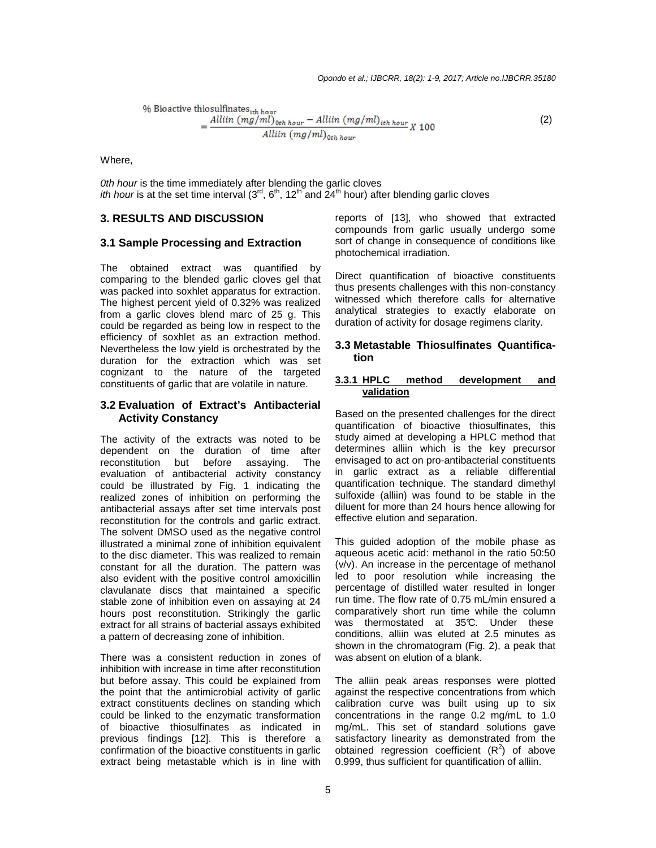% Bioactive thiosulfinates<sub>ith hour</sub>  
= 
$$
\frac{Alllin (mg/ml)_{0th hour} - Alllin (mg/ml)_{ith hour}}{Alllin (mg/ml)_{0th hour}}
$$
 (2)

Where,

0th hour is the time immediately after blending the garlic cloves *ith hour* is at the set time interval (3<sup>rd</sup>, 6<sup>th</sup>, 12<sup>th</sup> and  $24<sup>th</sup>$  hour) after blending garlic cloves

# **3. RESULTS AND DISCUSSION**

## **3.1 Sample Processing and Extraction**

The obtained extract was quantified by comparing to the blended garlic cloves gel that was packed into soxhlet apparatus for extraction. The highest percent yield of 0.32% was realized from a garlic cloves blend marc of 25 g. This could be regarded as being low in respect to the efficiency of soxhlet as an extraction method. Nevertheless the low yield is orchestrated by the duration for the extraction which was set cognizant to the nature of the targeted constituents of garlic that are volatile in nature.

#### **3.2 Evaluation of Extract's Antibacterial Activity Constancy**

The activity of the extracts was noted to be dependent on the duration of time after reconstitution but before assaying. The evaluation of antibacterial activity constancy could be illustrated by Fig. 1 indicating the realized zones of inhibition on performing the antibacterial assays after set time intervals post reconstitution for the controls and garlic extract. The solvent DMSO used as the negative control illustrated a minimal zone of inhibition equivalent to the disc diameter. This was realized to remain constant for all the duration. The pattern was also evident with the positive control amoxicillin clavulanate discs that maintained a specific stable zone of inhibition even on assaying at 24 hours post reconstitution. Strikingly the garlic extract for all strains of bacterial assays exhibited a pattern of decreasing zone of inhibition.

There was a consistent reduction in zones of inhibition with increase in time after reconstitution but before assay. This could be explained from the point that the antimicrobial activity of garlic extract constituents declines on standing which could be linked to the enzymatic transformation of bioactive thiosulfinates as indicated in previous findings [12]. This is therefore a confirmation of the bioactive constituents in garlic extract being metastable which is in line with

reports of [13], who showed that extracted compounds from garlic usually undergo some sort of change in consequence of conditions like photochemical irradiation.

Direct quantification of bioactive constituents thus presents challenges with this non-constancy witnessed which therefore calls for alternative analytical strategies to exactly elaborate on duration of activity for dosage regimens clarity.

#### **3.3 Metastable Thiosulfinates Quantification**

#### **3.3.1 HPLC method development and validation**

Based on the presented challenges for the direct quantification of bioactive thiosulfinates, this study aimed at developing a HPLC method that determines alliin which is the key precursor envisaged to act on pro-antibacterial constituents in garlic extract as a reliable differential quantification technique. The standard dimethyl sulfoxide (alliin) was found to be stable in the diluent for more than 24 hours hence allowing for effective elution and separation.

This guided adoption of the mobile phase as aqueous acetic acid: methanol in the ratio 50:50 (v/v). An increase in the percentage of methanol led to poor resolution while increasing the percentage of distilled water resulted in longer run time. The flow rate of 0.75 mL/min ensured a comparatively short run time while the column was thermostated at 35°C. Under these conditions, alliin was eluted at 2.5 minutes as shown in the chromatogram (Fig. 2), a peak that was absent on elution of a blank.

The alliin peak areas responses were plotted against the respective concentrations from which calibration curve was built using up to six concentrations in the range 0.2 mg/mL to 1.0 mg/mL. This set of standard solutions gave satisfactory linearity as demonstrated from the obtained regression coefficient  $(R^2)$  of above 0.999, thus sufficient for quantification of alliin.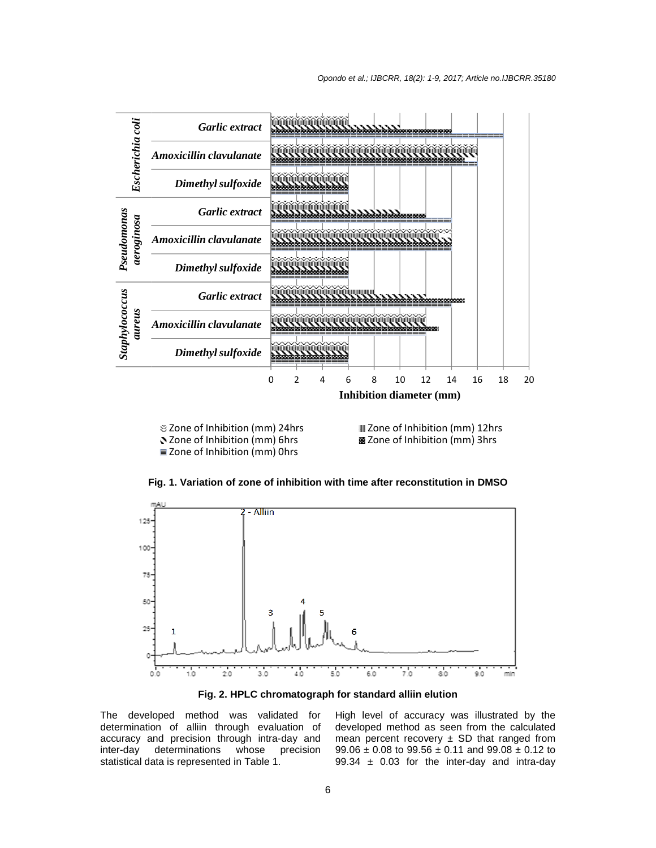

Zone of Inhibition (mm) 24hrs Zone of Inhibition (mm) 6hrs Zone of Inhibition (mm) 0hrs

 Zone of Inhibition (mm) 12hrs Um Zone of Inhibition (mm) 12hr <mark>⊠</mark> Zone of Inhibition (mm)

Fig. 1. Variation of zone of inhibition with time after reconstitution in DMSO





The developed method was validated for determination of alliin through evaluation of accuracy and precision through intra-day and inter-day determinations whose precision inter-day determinations whose p<br>statistical data is represented in Table 1. The developed method was validated for<br>determination of alliin through evaluation of<br>accuracy and precision through intra-day and High level of accuracy was illustrated by the developed method as seen from the calculated mean percent recovery  $\pm$  SD that ranged from  $99.06 \pm 0.08$  to  $99.56 \pm 0.11$  and  $99.08 \pm 0.12$  to 99.34  $\pm$  0.03 for the inter-day and intra-day level of accuracy was illustrated by the pped method as seen from the calculated percent recovery  $\pm$  SD that ranged from  $\pm$  0.08 to 99.56  $\pm$  0.11 and 99.08  $\pm$  0.12 to  $\pm$  0.03 for the inter-day and intra-day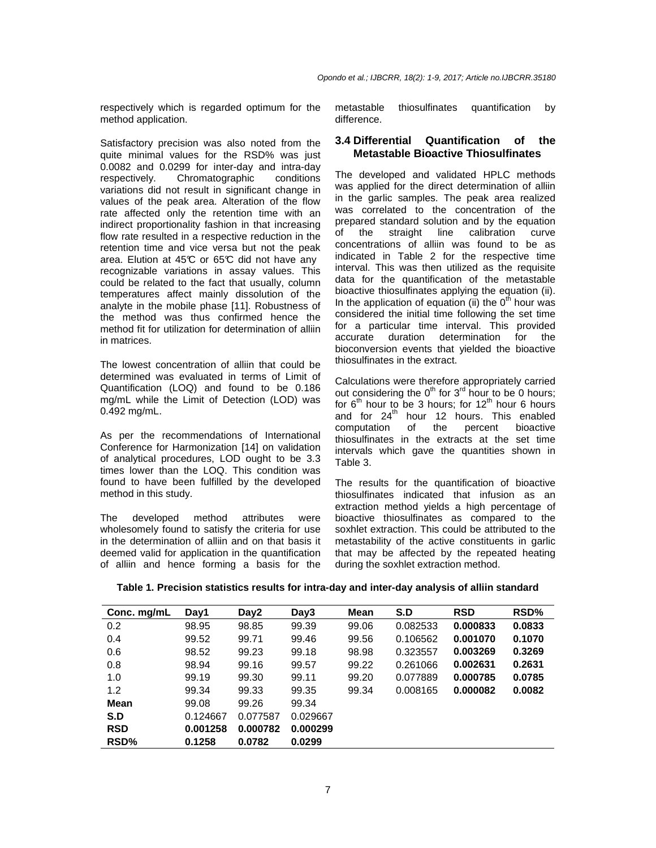respectively which is regarded optimum for the method application.

Satisfactory precision was also noted from the quite minimal values for the RSD% was just 0.0082 and 0.0299 for inter-day and intra-day respectively. Chromatographic conditions variations did not result in significant change in values of the peak area. Alteration of the flow rate affected only the retention time with an indirect proportionality fashion in that increasing flow rate resulted in a respective reduction in the retention time and vice versa but not the peak area. Elution at  $45^{\circ}$  or  $65^{\circ}$  did not have any recognizable variations in assay values. This could be related to the fact that usually, column temperatures affect mainly dissolution of the analyte in the mobile phase [11]. Robustness of the method was thus confirmed hence the method fit for utilization for determination of alliin in matrices.

The lowest concentration of alliin that could be determined was evaluated in terms of Limit of Quantification (LOQ) and found to be 0.186 mg/mL while the Limit of Detection (LOD) was 0.492 mg/mL.

As per the recommendations of International Conference for Harmonization [14] on validation of analytical procedures, LOD ought to be 3.3 times lower than the LOQ. This condition was found to have been fulfilled by the developed method in this study.

The developed method attributes were wholesomely found to satisfy the criteria for use in the determination of alliin and on that basis it deemed valid for application in the quantification of alliin and hence forming a basis for the

metastable thiosulfinates quantification by difference.

#### **3.4 Differential Quantification of the Metastable Bioactive Thiosulfinates**

The developed and validated HPLC methods was applied for the direct determination of alliin in the garlic samples. The peak area realized was correlated to the concentration of the prepared standard solution and by the equation of the straight line calibration curve concentrations of alliin was found to be as indicated in Table 2 for the respective time interval. This was then utilized as the requisite data for the quantification of the metastable bioactive thiosulfinates applying the equation (ii). In the application of equation (ii) the  $0<sup>th</sup>$  hour was considered the initial time following the set time for a particular time interval. This provided accurate duration determination for the bioconversion events that yielded the bioactive thiosulfinates in the extract.

Calculations were therefore appropriately carried out considering the  $0<sup>th</sup>$  for  $3<sup>rd</sup>$  hour to be 0 hours; for  $6<sup>th</sup>$  hour to be 3 hours; for 12<sup>th</sup> hour 6 hours and for  $24<sup>th</sup>$  hour 12 hours. This enabled computation of the percent bioactive thiosulfinates in the extracts at the set time intervals which gave the quantities shown in Table 3.

The results for the quantification of bioactive thiosulfinates indicated that infusion as an extraction method yields a high percentage of bioactive thiosulfinates as compared to the soxhlet extraction. This could be attributed to the metastability of the active constituents in garlic that may be affected by the repeated heating during the soxhlet extraction method.

**Table 1. Precision statistics results for intra-day and inter-day analysis of alliin standard** 

| Conc. mg/mL | Day1     | Day2     | Day3     | Mean  | S.D      | <b>RSD</b> | RSD%   |
|-------------|----------|----------|----------|-------|----------|------------|--------|
| 0.2         | 98.95    | 98.85    | 99.39    | 99.06 | 0.082533 | 0.000833   | 0.0833 |
| 0.4         | 99.52    | 99.71    | 99.46    | 99.56 | 0.106562 | 0.001070   | 0.1070 |
| 0.6         | 98.52    | 99.23    | 99.18    | 98.98 | 0.323557 | 0.003269   | 0.3269 |
| 0.8         | 98.94    | 99.16    | 99.57    | 99.22 | 0.261066 | 0.002631   | 0.2631 |
| 1.0         | 99.19    | 99.30    | 99.11    | 99.20 | 0.077889 | 0.000785   | 0.0785 |
| 1.2         | 99.34    | 99.33    | 99.35    | 99.34 | 0.008165 | 0.000082   | 0.0082 |
| Mean        | 99.08    | 99.26    | 99.34    |       |          |            |        |
| S.D         | 0.124667 | 0.077587 | 0.029667 |       |          |            |        |
| <b>RSD</b>  | 0.001258 | 0.000782 | 0.000299 |       |          |            |        |
| RSD%        | 0.1258   | 0.0782   | 0.0299   |       |          |            |        |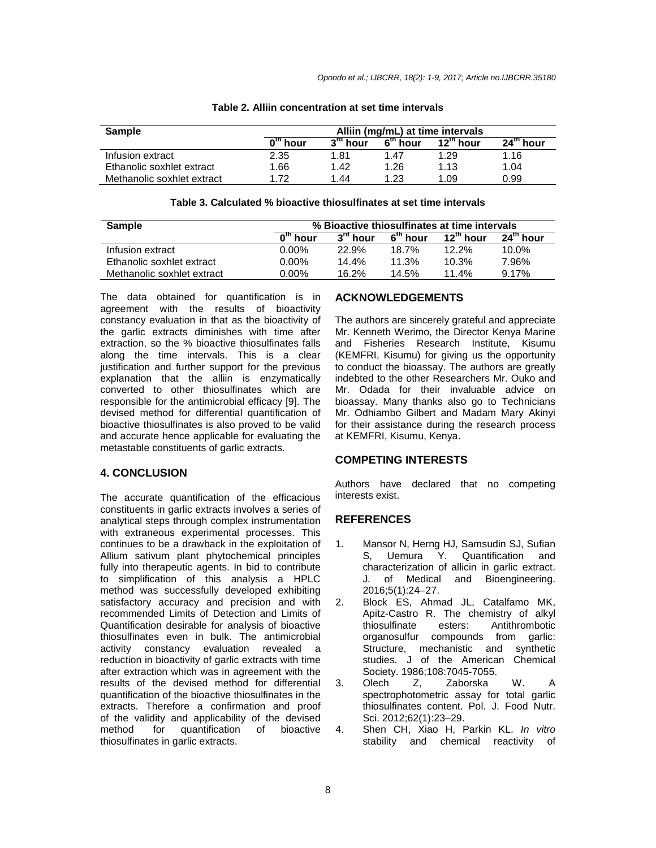| <b>Sample</b>              |                         | Alliin (mg/mL) at time intervals |                      |                       |             |  |  |
|----------------------------|-------------------------|----------------------------------|----------------------|-----------------------|-------------|--|--|
|                            | 0 <sup>th</sup><br>hour | $3^{\text{ra}}$ hour             | 6 <sup>th</sup> hour | $12^{\text{th}}$ hour | $24th$ hour |  |  |
| Infusion extract           | 2.35                    | 1.81                             | 1.47                 | 1.29                  | 1.16        |  |  |
| Ethanolic soxhlet extract  | 1.66                    | 1.42                             | 1.26                 | 1.13                  | 1.04        |  |  |
| Methanolic soxhlet extract | 172                     | 1.44                             | 1.23                 | 1.09                  | 0.99        |  |  |

#### **Table 2. Alliin concentration at set time intervals**

| Table 3. Calculated % bioactive thiosulfinates at set time intervals |
|----------------------------------------------------------------------|
|----------------------------------------------------------------------|

| <b>Sample</b>              | % Bioactive thiosulfinates at time intervals |                      |            |                       |                       |
|----------------------------|----------------------------------------------|----------------------|------------|-----------------------|-----------------------|
|                            | $0th$ hour                                   | $3^{\text{ra}}$ hour | $6tn$ hour | $12^{\text{th}}$ hour | $24^{\text{th}}$ hour |
| Infusion extract           | $0.00\%$                                     | 22.9%                | 18.7%      | $12.2\%$              | 10.0%                 |
| Ethanolic soxhlet extract  | $0.00\%$                                     | 14.4%                | 11.3%      | $10.3\%$              | 7.96%                 |
| Methanolic soxhlet extract | $0.00\%$                                     | 16.2%                | 14.5%      | $11.4\%$              | 9.17%                 |

The data obtained for quantification is in agreement with the results of bioactivity constancy evaluation in that as the bioactivity of the garlic extracts diminishes with time after extraction, so the % bioactive thiosulfinates falls along the time intervals. This is a clear justification and further support for the previous explanation that the alliin is enzymatically converted to other thiosulfinates which are responsible for the antimicrobial efficacy [9]. The devised method for differential quantification of bioactive thiosulfinates is also proved to be valid and accurate hence applicable for evaluating the metastable constituents of garlic extracts.

#### **4. CONCLUSION**

The accurate quantification of the efficacious constituents in garlic extracts involves a series of analytical steps through complex instrumentation with extraneous experimental processes. This continues to be a drawback in the exploitation of Allium sativum plant phytochemical principles fully into therapeutic agents. In bid to contribute to simplification of this analysis a HPLC method was successfully developed exhibiting satisfactory accuracy and precision and with recommended Limits of Detection and Limits of Quantification desirable for analysis of bioactive thiosulfinates even in bulk. The antimicrobial activity constancy evaluation revealed a reduction in bioactivity of garlic extracts with time after extraction which was in agreement with the results of the devised method for differential quantification of the bioactive thiosulfinates in the extracts. Therefore a confirmation and proof of the validity and applicability of the devised method for quantification of bioactive thiosulfinates in garlic extracts.

# **ACKNOWLEDGEMENTS**

The authors are sincerely grateful and appreciate Mr. Kenneth Werimo, the Director Kenya Marine and Fisheries Research Institute, Kisumu (KEMFRI, Kisumu) for giving us the opportunity to conduct the bioassay. The authors are greatly indebted to the other Researchers Mr. Ouko and Mr. Odada for their invaluable advice on bioassay. Many thanks also go to Technicians Mr. Odhiambo Gilbert and Madam Mary Akinyi for their assistance during the research process at KEMFRI, Kisumu, Kenya.

#### **COMPETING INTERESTS**

Authors have declared that no competing interests exist.

#### **REFERENCES**

- 1. Mansor N, Herng HJ, Samsudin SJ, Sufian<br>
S, Uemura Y. Quantification and S, Uemura Y. Quantification and characterization of allicin in garlic extract. J. of Medical and Bioengineering. 2016;5(1):24–27.
- 2. Block ES, Ahmad JL, Catalfamo MK, Apitz-Castro R. The chemistry of alkyl thiosulfinate esters: Antithrombotic organosulfur compounds from garlic: Structure, mechanistic and synthetic studies. J of the American Chemical Society. 1986;108:7045-7055.<br>Olech Z, Zaborska
- 3. Olech Z, Zaborska W. A spectrophotometric assay for total garlic thiosulfinates content. Pol. J. Food Nutr. Sci. 2012;62(1):23–29.
- 4. Shen CH, Xiao H, Parkin KL. In vitro stability and chemical reactivity of